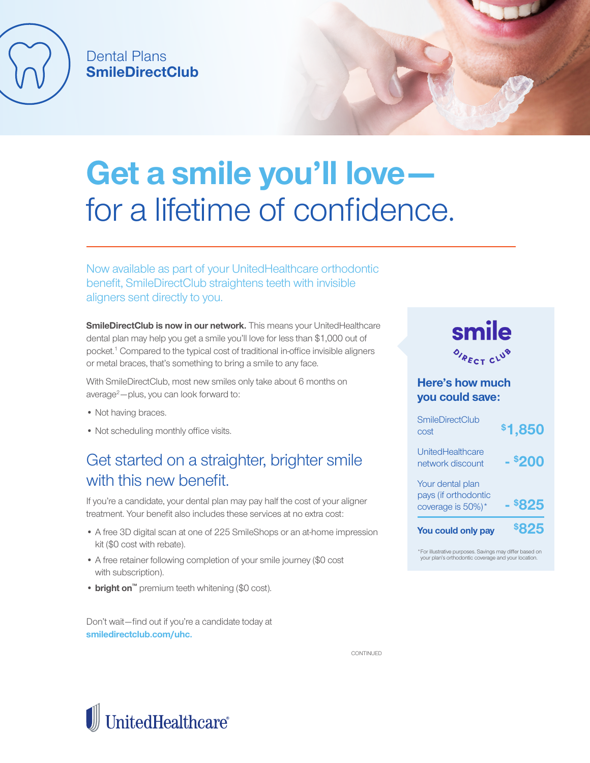

## Dental Plans **SmileDirectClub**

# **Get a smile you'll love**  for a lifetime of confidence.

Now available as part of your UnitedHealthcare orthodontic benefit, SmileDirectClub straightens teeth with invisible aligners sent directly to you.

**SmileDirectClub is now in our network.** This means your UnitedHealthcare dental plan may help you get a smile you'll love for less than \$1,000 out of pocket.<sup>1</sup> Compared to the typical cost of traditional in-office invisible aligners or metal braces, that's something to bring a smile to any face.

With SmileDirectClub, most new smiles only take about 6 months on  $average<sup>2</sup> - plus, you can look forward to:$ 

- Not having braces.
- Not scheduling monthly office visits.

## Get started on a straighter, brighter smile with this new benefit.

If you're a candidate, your dental plan may pay half the cost of your aligner treatment. Your benefit also includes these services at no extra cost:

- A free 3D digital scan at one of 225 SmileShops or an at-home impression kit (\$0 cost with rebate).
- A free retainer following completion of your smile journey (\$0 cost with subscription).
- **• bright on™** premium teeth whitening (\$0 cost).

Don't wait—find out if you're a candidate today at **smiledirectclub.com/uhc.**



### **Here's how much you could save:**

| <b>SmileDirectClub</b><br>cost                                | <b>\$1,850</b> |
|---------------------------------------------------------------|----------------|
| UnitedHealthcare<br>network discount                          | - \$200        |
| Your dental plan<br>pays (if orthodontic<br>coverage is 50%)* | <b>\$825</b>   |
| You could only pay                                            | \$825          |

\*For illustrative purposes. Savings may differ based on your plan's orthodontic coverage and your location